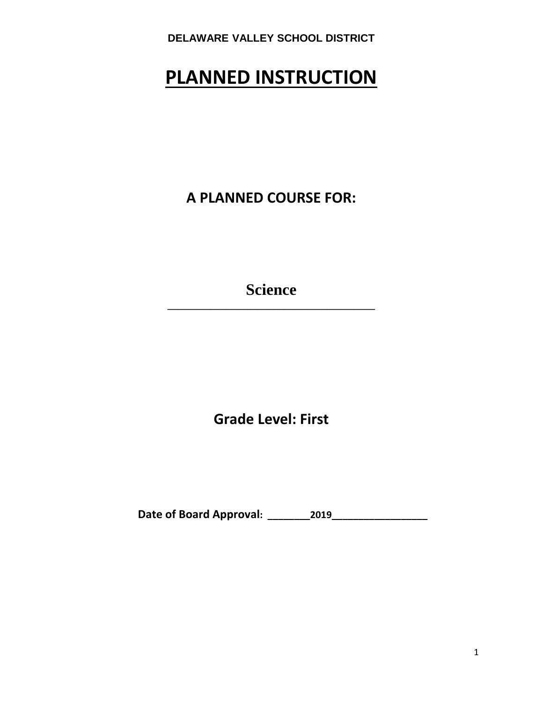# **PLANNED INSTRUCTION**

**A PLANNED COURSE FOR:**

**Science \_\_\_\_\_\_\_\_\_\_\_\_\_\_\_\_\_\_\_\_\_\_\_\_\_\_\_\_\_\_\_\_\_\_\_\_\_\_\_** 

**Grade Level: First**

**Date of Board Approval: \_\_\_\_\_\_\_\_2019\_\_\_\_\_\_\_\_\_\_\_\_\_\_\_\_\_\_**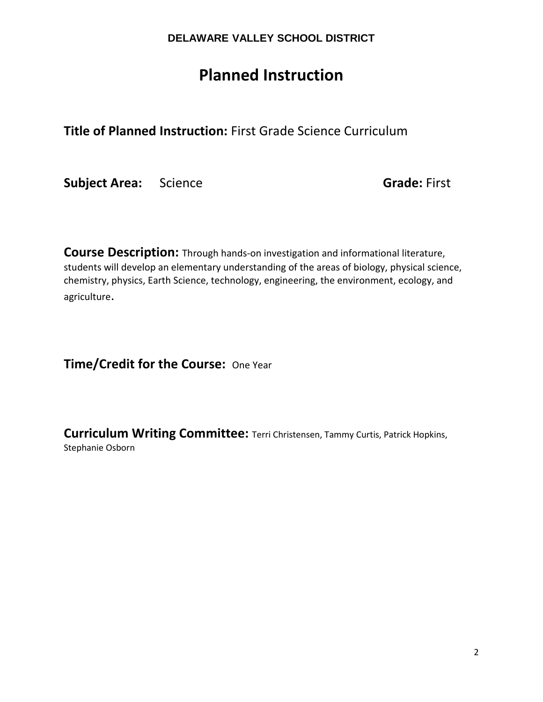# **Planned Instruction**

**Title of Planned Instruction:** First Grade Science Curriculum

**Subject Area:** Science **Grade: First** 

**Course Description:** Through hands-on investigation and informational literature, students will develop an elementary understanding of the areas of biology, physical science, chemistry, physics, Earth Science, technology, engineering, the environment, ecology, and agriculture.

**Time/Credit for the Course:** One Year

**Curriculum Writing Committee:** Terri Christensen, Tammy Curtis, Patrick Hopkins, Stephanie Osborn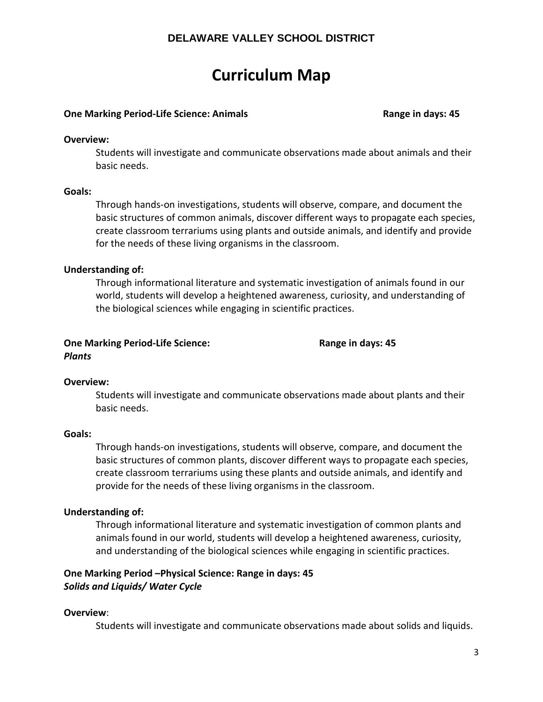# **Curriculum Map**

#### **One Marking Period-Life Science: Animals Range in days: 45**

#### **Overview:**

Students will investigate and communicate observations made about animals and their basic needs.

#### **Goals:**

Through hands-on investigations, students will observe, compare, and document the basic structures of common animals, discover different ways to propagate each species, create classroom terrariums using plants and outside animals, and identify and provide for the needs of these living organisms in the classroom.

#### **Understanding of:**

Through informational literature and systematic investigation of animals found in our world, students will develop a heightened awareness, curiosity, and understanding of the biological sciences while engaging in scientific practices.

#### **One Marking Period-Life Science: Convertise Convertise Convertise Convertise Convertise Convertise Convertise** *Plants*

#### **Overview:**

Students will investigate and communicate observations made about plants and their basic needs.

#### **Goals:**

Through hands-on investigations, students will observe, compare, and document the basic structures of common plants, discover different ways to propagate each species, create classroom terrariums using these plants and outside animals, and identify and provide for the needs of these living organisms in the classroom.

#### **Understanding of:**

Through informational literature and systematic investigation of common plants and animals found in our world, students will develop a heightened awareness, curiosity, and understanding of the biological sciences while engaging in scientific practices.

#### **One Marking Period –Physical Science: Range in days: 45** *Solids and Liquids/ Water Cycle*

#### **Overview**:

Students will investigate and communicate observations made about solids and liquids.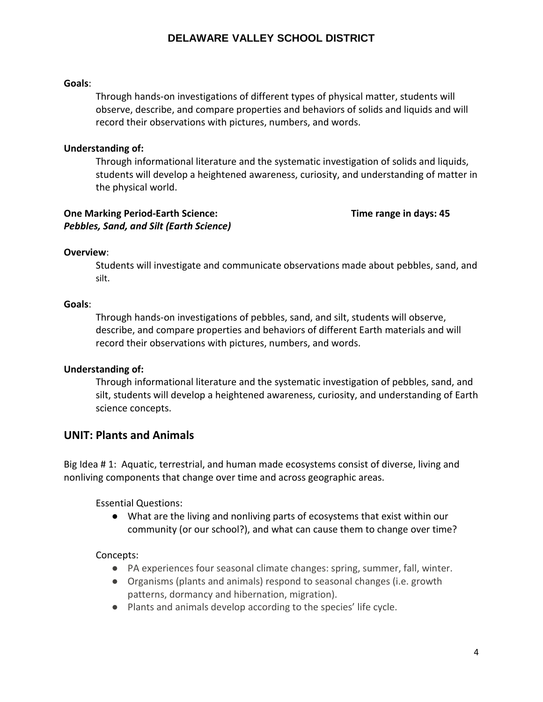#### **Goals**:

Through hands-on investigations of different types of physical matter, students will observe, describe, and compare properties and behaviors of solids and liquids and will record their observations with pictures, numbers, and words.

#### **Understanding of:**

Through informational literature and the systematic investigation of solids and liquids, students will develop a heightened awareness, curiosity, and understanding of matter in the physical world.

#### **One Marking Period-Earth Science:** Time range in days: 45 *Pebbles, Sand, and Silt (Earth Science)*

#### **Overview**:

Students will investigate and communicate observations made about pebbles, sand, and silt.

#### **Goals**:

Through hands-on investigations of pebbles, sand, and silt, students will observe, describe, and compare properties and behaviors of different Earth materials and will record their observations with pictures, numbers, and words.

#### **Understanding of:**

Through informational literature and the systematic investigation of pebbles, sand, and silt, students will develop a heightened awareness, curiosity, and understanding of Earth science concepts.

#### **UNIT: Plants and Animals**

Big Idea # 1: Aquatic, terrestrial, and human made ecosystems consist of diverse, living and nonliving components that change over time and across geographic areas.

Essential Questions:

● What are the living and nonliving parts of ecosystems that exist within our community (or our school?), and what can cause them to change over time?

#### Concepts:

- PA experiences four seasonal climate changes: spring, summer, fall, winter.
- Organisms (plants and animals) respond to seasonal changes (i.e. growth patterns, dormancy and hibernation, migration).
- Plants and animals develop according to the species' life cycle.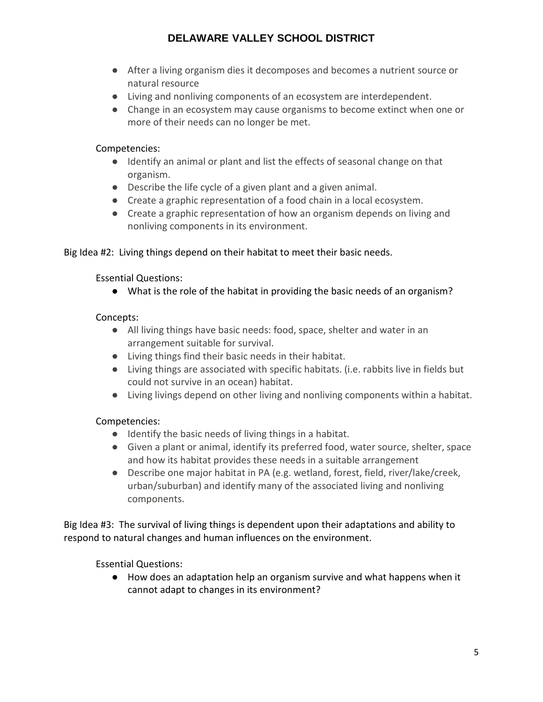- After a living organism dies it decomposes and becomes a nutrient source or natural resource
- Living and nonliving components of an ecosystem are interdependent.
- Change in an ecosystem may cause organisms to become extinct when one or more of their needs can no longer be met.

#### Competencies:

- Identify an animal or plant and list the effects of seasonal change on that organism.
- Describe the life cycle of a given plant and a given animal.
- Create a graphic representation of a food chain in a local ecosystem.
- Create a graphic representation of how an organism depends on living and nonliving components in its environment.

### Big Idea #2: Living things depend on their habitat to meet their basic needs.

#### Essential Questions:

● What is the role of the habitat in providing the basic needs of an organism?

### Concepts:

- All living things have basic needs: food, space, shelter and water in an arrangement suitable for survival.
- Living things find their basic needs in their habitat.
- Living things are associated with specific habitats. (i.e. rabbits live in fields but could not survive in an ocean) habitat.
- Living livings depend on other living and nonliving components within a habitat.

# Competencies:

- Identify the basic needs of living things in a habitat.
- Given a plant or animal, identify its preferred food, water source, shelter, space and how its habitat provides these needs in a suitable arrangement
- Describe one major habitat in PA (e.g. wetland, forest, field, river/lake/creek, urban/suburban) and identify many of the associated living and nonliving components.

Big Idea #3: The survival of living things is dependent upon their adaptations and ability to respond to natural changes and human influences on the environment.

Essential Questions:

● How does an adaptation help an organism survive and what happens when it cannot adapt to changes in its environment?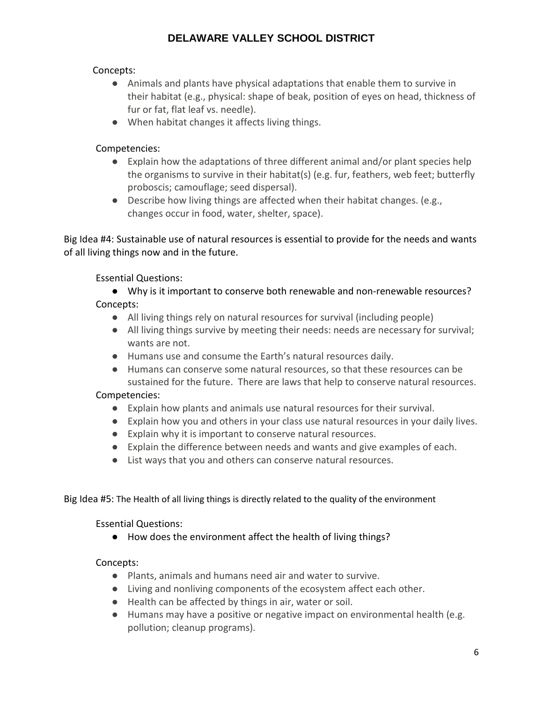#### Concepts:

- Animals and plants have physical adaptations that enable them to survive in their habitat (e.g., physical: shape of beak, position of eyes on head, thickness of fur or fat, flat leaf vs. needle).
- When habitat changes it affects living things.

#### Competencies:

- Explain how the adaptations of three different animal and/or plant species help the organisms to survive in their habitat(s) (e.g. fur, feathers, web feet; butterfly proboscis; camouflage; seed dispersal).
- Describe how living things are affected when their habitat changes. (e.g., changes occur in food, water, shelter, space).

Big Idea #4: Sustainable use of natural resources is essential to provide for the needs and wants of all living things now and in the future.

#### Essential Questions:

● Why is it important to conserve both renewable and non-renewable resources? Concepts:

- All living things rely on natural resources for survival (including people)
- All living things survive by meeting their needs: needs are necessary for survival; wants are not.
- Humans use and consume the Earth's natural resources daily.
- Humans can conserve some natural resources, so that these resources can be sustained for the future. There are laws that help to conserve natural resources.

# Competencies:

- Explain how plants and animals use natural resources for their survival.
- Explain how you and others in your class use natural resources in your daily lives.
- Explain why it is important to conserve natural resources.
- Explain the difference between needs and wants and give examples of each.
- List ways that you and others can conserve natural resources.

Big Idea #5: The Health of all living things is directly related to the quality of the environment

#### Essential Questions:

● How does the environment affect the health of living things?

#### Concepts:

- Plants, animals and humans need air and water to survive.
- Living and nonliving components of the ecosystem affect each other.
- Health can be affected by things in air, water or soil.
- Humans may have a positive or negative impact on environmental health (e.g. pollution; cleanup programs).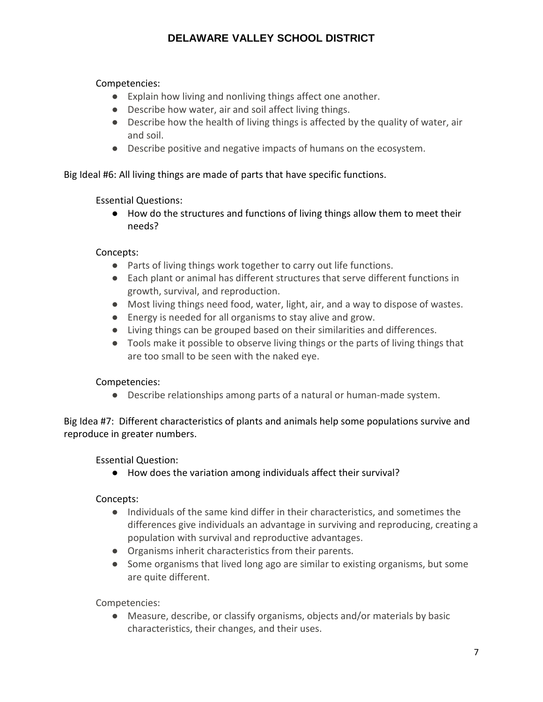#### Competencies:

- Explain how living and nonliving things affect one another.
- Describe how water, air and soil affect living things.
- Describe how the health of living things is affected by the quality of water, air and soil.
- Describe positive and negative impacts of humans on the ecosystem.

#### Big Ideal #6: All living things are made of parts that have specific functions.

#### Essential Questions:

● How do the structures and functions of living things allow them to meet their needs?

#### Concepts:

- Parts of living things work together to carry out life functions.
- Each plant or animal has different structures that serve different functions in growth, survival, and reproduction.
- Most living things need food, water, light, air, and a way to dispose of wastes.
- Energy is needed for all organisms to stay alive and grow.
- Living things can be grouped based on their similarities and differences.
- Tools make it possible to observe living things or the parts of living things that are too small to be seen with the naked eye.

#### Competencies:

● Describe relationships among parts of a natural or human-made system.

Big Idea #7: Different characteristics of plants and animals help some populations survive and reproduce in greater numbers.

#### Essential Question:

● How does the variation among individuals affect their survival?

#### Concepts:

- Individuals of the same kind differ in their characteristics, and sometimes the differences give individuals an advantage in surviving and reproducing, creating a population with survival and reproductive advantages.
- Organisms inherit characteristics from their parents.
- Some organisms that lived long ago are similar to existing organisms, but some are quite different.

#### Competencies:

● Measure, describe, or classify organisms, objects and/or materials by basic characteristics, their changes, and their uses.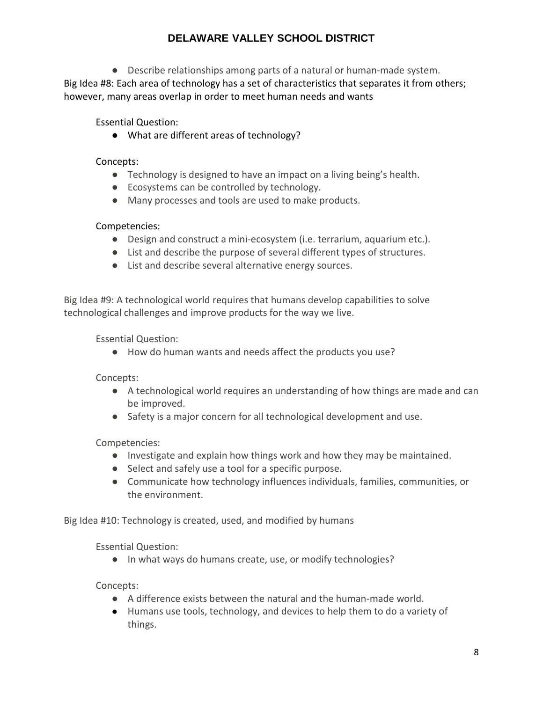● Describe relationships among parts of a natural or human-made system. Big Idea #8: Each area of technology has a set of characteristics that separates it from others; however, many areas overlap in order to meet human needs and wants

Essential Question:

● What are different areas of technology?

#### Concepts:

- Technology is designed to have an impact on a living being's health.
- Ecosystems can be controlled by technology.
- Many processes and tools are used to make products.

#### Competencies:

- Design and construct a mini-ecosystem (i.e. terrarium, aquarium etc.).
- List and describe the purpose of several different types of structures.
- List and describe several alternative energy sources.

Big Idea #9: A technological world requires that humans develop capabilities to solve technological challenges and improve products for the way we live.

Essential Question:

● How do human wants and needs affect the products you use?

Concepts:

- A technological world requires an understanding of how things are made and can be improved.
- Safety is a major concern for all technological development and use.

Competencies:

- Investigate and explain how things work and how they may be maintained.
- Select and safely use a tool for a specific purpose.
- Communicate how technology influences individuals, families, communities, or the environment.

Big Idea #10: Technology is created, used, and modified by humans

Essential Question:

● In what ways do humans create, use, or modify technologies?

Concepts:

- A difference exists between the natural and the human-made world.
- Humans use tools, technology, and devices to help them to do a variety of things.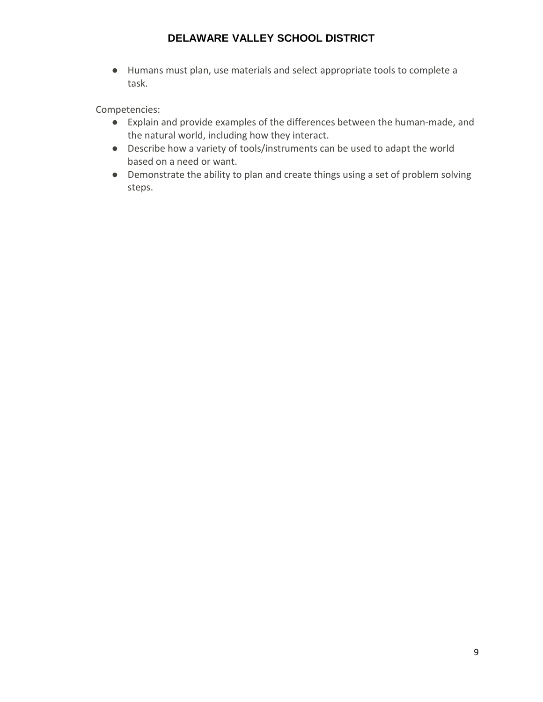● Humans must plan, use materials and select appropriate tools to complete a task.

- Explain and provide examples of the differences between the human-made, and the natural world, including how they interact.
- Describe how a variety of tools/instruments can be used to adapt the world based on a need or want.
- Demonstrate the ability to plan and create things using a set of problem solving steps.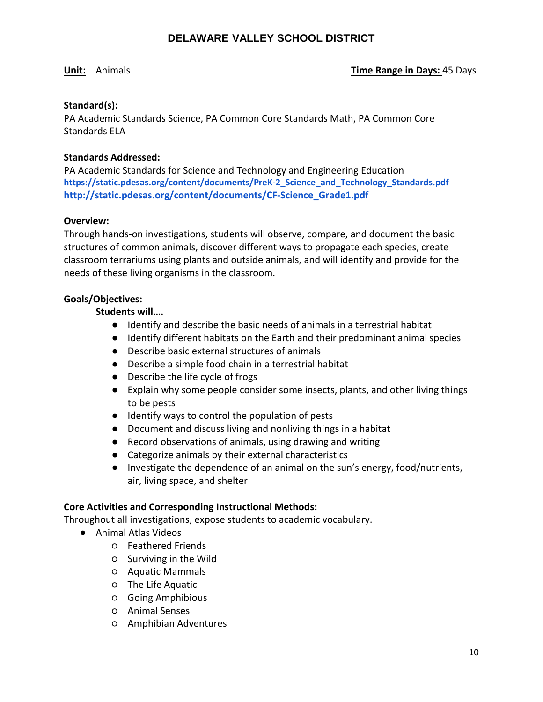#### **Unit:** Animals **Time Range in Days:** 45 Days

#### **Standard(s):**

PA Academic Standards Science, PA Common Core Standards Math, PA Common Core Standards ELA

#### **Standards Addressed:**

PA Academic Standards for Science and Technology and Engineering Education **[https://static.pdesas.org/content/documents/PreK-2\\_Science\\_and\\_Technology\\_Standards.pdf](https://static.pdesas.org/content/documents/PreK-2_Science_and_Technology_Standards.pdf) [http://static.pdesas.org/content/documents/CF-Science\\_Grade1.pdf](http://static.pdesas.org/content/documents/CF-Science_Grade1.pdf)**

#### **Overview:**

Through hands-on investigations, students will observe, compare, and document the basic structures of common animals, discover different ways to propagate each species, create classroom terrariums using plants and outside animals, and will identify and provide for the needs of these living organisms in the classroom.

#### **Goals/Objectives:**

#### **Students will….**

- Identify and describe the basic needs of animals in a terrestrial habitat
- Identify different habitats on the Earth and their predominant animal species
- Describe basic external structures of animals
- Describe a simple food chain in a terrestrial habitat
- Describe the life cycle of frogs
- Explain why some people consider some insects, plants, and other living things to be pests
- Identify ways to control the population of pests
- Document and discuss living and nonliving things in a habitat
- Record observations of animals, using drawing and writing
- Categorize animals by their external characteristics
- Investigate the dependence of an animal on the sun's energy, food/nutrients, air, living space, and shelter

#### **Core Activities and Corresponding Instructional Methods:**

Throughout all investigations, expose students to academic vocabulary.

- Animal Atlas Videos
	- Feathered Friends
	- Surviving in the Wild
	- Aquatic Mammals
	- The Life Aquatic
	- Going Amphibious
	- Animal Senses
	- Amphibian Adventures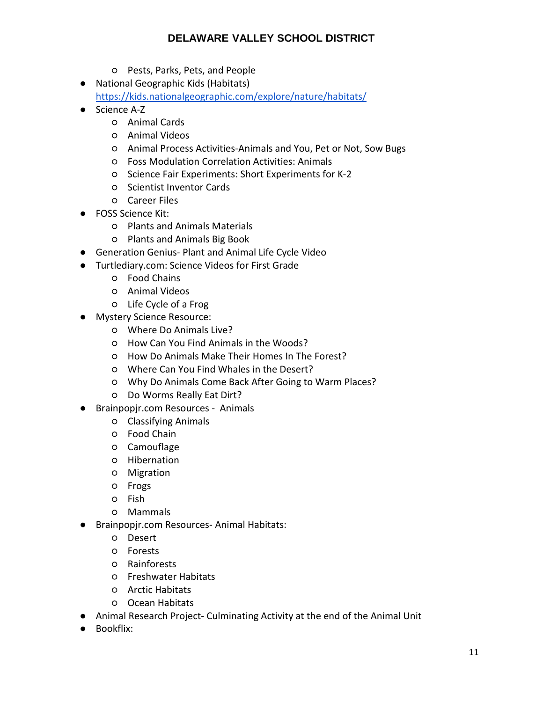- Pests, Parks, Pets, and People
- National Geographic Kids (Habitats) <https://kids.nationalgeographic.com/explore/nature/habitats/>
- Science A-Z
	- Animal Cards
	- Animal Videos
	- Animal Process Activities-Animals and You, Pet or Not, Sow Bugs
	- Foss Modulation Correlation Activities: Animals
	- Science Fair Experiments: Short Experiments for K-2
	- Scientist Inventor Cards
	- Career Files
- FOSS Science Kit:
	- Plants and Animals Materials
	- Plants and Animals Big Book
- Generation Genius- Plant and Animal Life Cycle Video
- Turtlediary.com: Science Videos for First Grade
	- Food Chains
	- Animal Videos
	- Life Cycle of a Frog
- Mystery Science Resource:
	- Where Do Animals Live?
	- How Can You Find Animals in the Woods?
	- How Do Animals Make Their Homes In The Forest?
	- Where Can You Find Whales in the Desert?
	- Why Do Animals Come Back After Going to Warm Places?
	- Do Worms Really Eat Dirt?
- Brainpopjr.com Resources Animals
	- Classifying Animals
	- Food Chain
	- Camouflage
	- Hibernation
	- Migration
	- Frogs
	- Fish
	- Mammals
- Brainpopjr.com Resources- Animal Habitats:
	- Desert
	- Forests
	- Rainforests
	- Freshwater Habitats
	- Arctic Habitats
	- Ocean Habitats
- Animal Research Project- Culminating Activity at the end of the Animal Unit
- Bookflix: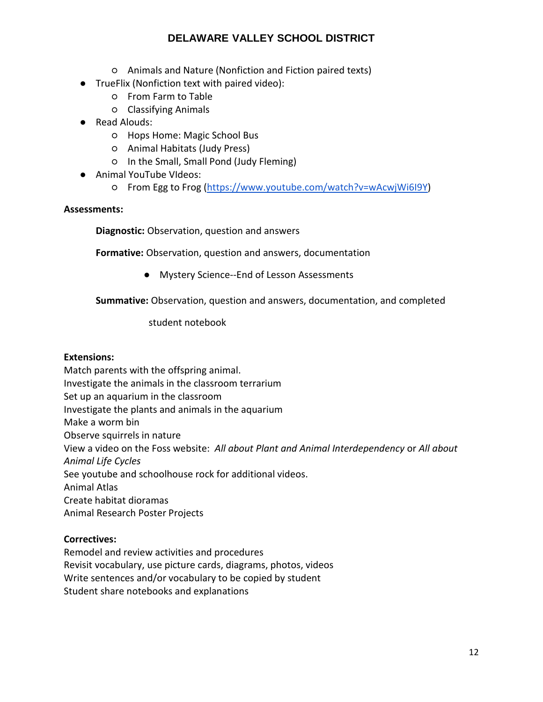- Animals and Nature (Nonfiction and Fiction paired texts)
- TrueFlix (Nonfiction text with paired video):
	- From Farm to Table
	- Classifying Animals
- Read Alouds:
	- Hops Home: Magic School Bus
	- Animal Habitats (Judy Press)
	- In the Small, Small Pond (Judy Fleming)
- Animal YouTube VIdeos:
	- From Egg to Frog [\(https://www.youtube.com/watch?v=wAcwjWi6I9Y\)](https://www.youtube.com/watch?v=wAcwjWi6I9Y)

#### **Assessments:**

**Diagnostic:** Observation, question and answers

**Formative:** Observation, question and answers, documentation

● Mystery Science--End of Lesson Assessments

#### **Summative:** Observation, question and answers, documentation, and completed

student notebook

#### **Extensions:**

Match parents with the offspring animal. Investigate the animals in the classroom terrarium Set up an aquarium in the classroom Investigate the plants and animals in the aquarium Make a worm bin Observe squirrels in nature View a video on the Foss website: *All about Plant and Animal Interdependency* or *All about Animal Life Cycles* See youtube and schoolhouse rock for additional videos. Animal Atlas Create habitat dioramas Animal Research Poster Projects

#### **Correctives:**

Remodel and review activities and procedures Revisit vocabulary, use picture cards, diagrams, photos, videos Write sentences and/or vocabulary to be copied by student Student share notebooks and explanations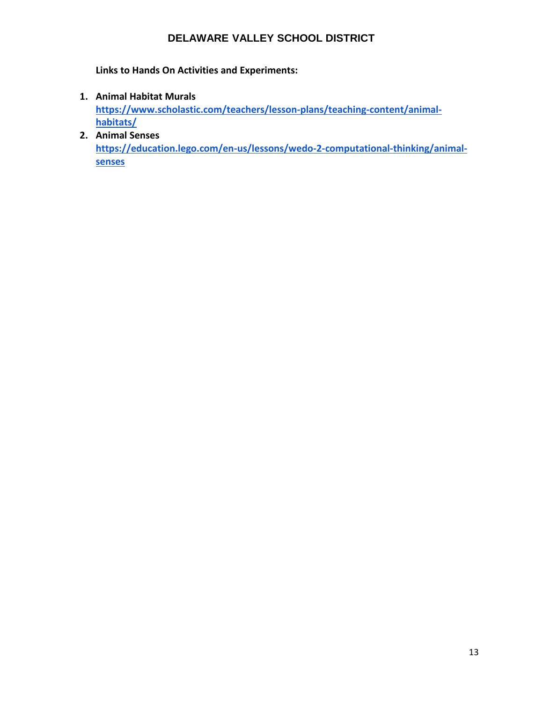**Links to Hands On Activities and Experiments:**

**1. Animal Habitat Murals**

**[https://www.scholastic.com/teachers/lesson-plans/teaching-content/animal](https://www.scholastic.com/teachers/lesson-plans/teaching-content/animal-habitats/)[habitats/](https://www.scholastic.com/teachers/lesson-plans/teaching-content/animal-habitats/)**

**2. Animal Senses [https://education.lego.com/en-us/lessons/wedo-2-computational-thinking/animal](https://education.lego.com/en-us/lessons/wedo-2-computational-thinking/animal-senses)[senses](https://education.lego.com/en-us/lessons/wedo-2-computational-thinking/animal-senses)**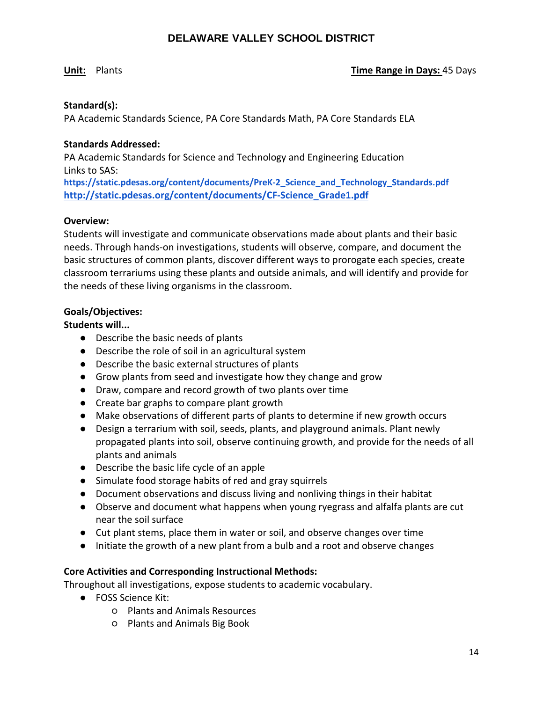#### **Unit:** Plants **Time Range in Days:** 45 Days

#### **Standard(s):**

PA Academic Standards Science, PA Core Standards Math, PA Core Standards ELA

#### **Standards Addressed:**

PA Academic Standards for Science and Technology and Engineering Education Links to SAS:

**[https://static.pdesas.org/content/documents/PreK-2\\_Science\\_and\\_Technology\\_Standards.pdf](https://static.pdesas.org/content/documents/PreK-2_Science_and_Technology_Standards.pdf) [http://static.pdesas.org/content/documents/CF-Science\\_Grade1.pdf](http://static.pdesas.org/content/documents/CF-Science_Grade1.pdf)**

#### **Overview:**

Students will investigate and communicate observations made about plants and their basic needs. Through hands-on investigations, students will observe, compare, and document the basic structures of common plants, discover different ways to prorogate each species, create classroom terrariums using these plants and outside animals, and will identify and provide for the needs of these living organisms in the classroom.

#### **Goals/Objectives:**

#### **Students will...**

- Describe the basic needs of plants
- Describe the role of soil in an agricultural system
- Describe the basic external structures of plants
- Grow plants from seed and investigate how they change and grow
- Draw, compare and record growth of two plants over time
- Create bar graphs to compare plant growth
- Make observations of different parts of plants to determine if new growth occurs
- Design a terrarium with soil, seeds, plants, and playground animals. Plant newly propagated plants into soil, observe continuing growth, and provide for the needs of all plants and animals
- Describe the basic life cycle of an apple
- Simulate food storage habits of red and gray squirrels
- Document observations and discuss living and nonliving things in their habitat
- Observe and document what happens when young ryegrass and alfalfa plants are cut near the soil surface
- Cut plant stems, place them in water or soil, and observe changes over time
- Initiate the growth of a new plant from a bulb and a root and observe changes

#### **Core Activities and Corresponding Instructional Methods:**

Throughout all investigations, expose students to academic vocabulary.

- FOSS Science Kit:
	- Plants and Animals Resources
	- Plants and Animals Big Book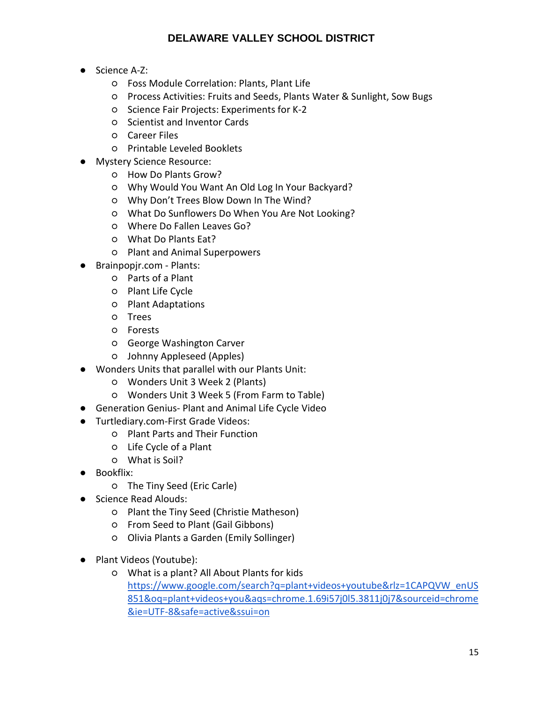- Science A-Z:
	- Foss Module Correlation: Plants, Plant Life
	- Process Activities: Fruits and Seeds, Plants Water & Sunlight, Sow Bugs
	- Science Fair Projects: Experiments for K-2
	- Scientist and Inventor Cards
	- Career Files
	- Printable Leveled Booklets
- Mystery Science Resource:
	- How Do Plants Grow?
	- Why Would You Want An Old Log In Your Backyard?
	- Why Don't Trees Blow Down In The Wind?
	- What Do Sunflowers Do When You Are Not Looking?
	- Where Do Fallen Leaves Go?
	- What Do Plants Eat?
	- Plant and Animal Superpowers
- Brainpopjr.com Plants:
	- Parts of a Plant
	- Plant Life Cycle
	- Plant Adaptations
	- Trees
	- Forests
	- George Washington Carver
	- Johnny Appleseed (Apples)
- Wonders Units that parallel with our Plants Unit:
	- Wonders Unit 3 Week 2 (Plants)
	- Wonders Unit 3 Week 5 (From Farm to Table)
- Generation Genius- Plant and Animal Life Cycle Video
- Turtlediary.com-First Grade Videos:
	- Plant Parts and Their Function
	- Life Cycle of a Plant
	- What is Soil?
- Bookflix:
	- The Tiny Seed (Eric Carle)
- Science Read Alouds:
	- Plant the Tiny Seed (Christie Matheson)
	- From Seed to Plant (Gail Gibbons)
	- Olivia Plants a Garden (Emily Sollinger)
- Plant Videos (Youtube):
	- What is a plant? All About Plants for kids [https://www.google.com/search?q=plant+videos+youtube&rlz=1CAPQVW\\_enUS](https://www.google.com/search?q=plant+videos+youtube&rlz=1CAPQVW_enUS851&oq=plant+videos+you&aqs=chrome.1.69i57j0l5.3811j0j7&sourceid=chrome&ie=UTF-8&safe=active&ssui=on) [851&oq=plant+videos+you&aqs=chrome.1.69i57j0l5.3811j0j7&sourceid=chrome](https://www.google.com/search?q=plant+videos+youtube&rlz=1CAPQVW_enUS851&oq=plant+videos+you&aqs=chrome.1.69i57j0l5.3811j0j7&sourceid=chrome&ie=UTF-8&safe=active&ssui=on) [&ie=UTF-8&safe=active&ssui=on](https://www.google.com/search?q=plant+videos+youtube&rlz=1CAPQVW_enUS851&oq=plant+videos+you&aqs=chrome.1.69i57j0l5.3811j0j7&sourceid=chrome&ie=UTF-8&safe=active&ssui=on)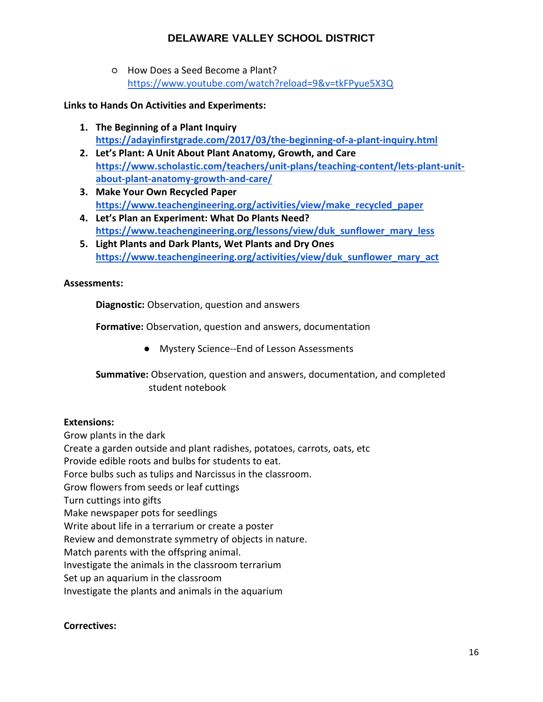○ How Does a Seed Become a Plant? <https://www.youtube.com/watch?reload=9&v=tkFPyue5X3Q>

#### **Links to Hands On Activities and Experiments:**

- **1. The Beginning of a Plant Inquiry <https://adayinfirstgrade.com/2017/03/the-beginning-of-a-plant-inquiry.html>**
- **2. Let's Plant: A Unit About Plant Anatomy, Growth, and Care [https://www.scholastic.com/teachers/unit-plans/teaching-content/lets-plant-unit](https://www.scholastic.com/teachers/unit-plans/teaching-content/lets-plant-unit-about-plant-anatomy-growth-and-care/)[about-plant-anatomy-growth-and-care/](https://www.scholastic.com/teachers/unit-plans/teaching-content/lets-plant-unit-about-plant-anatomy-growth-and-care/)**
- **3. Make Your Own Recycled Paper [https://www.teachengineering.org/activities/view/make\\_recycled\\_paper](https://www.teachengineering.org/activities/view/make_recycled_paper)**
- **4. Let's Plan an Experiment: What Do Plants Need? [https://www.teachengineering.org/lessons/view/duk\\_sunflower\\_mary\\_less](https://www.teachengineering.org/lessons/view/duk_sunflower_mary_less)**
- **5. Light Plants and Dark Plants, Wet Plants and Dry Ones [https://www.teachengineering.org/activities/view/duk\\_sunflower\\_mary\\_act](https://www.teachengineering.org/activities/view/duk_sunflower_mary_act)**

### **Assessments:**

**Diagnostic:** Observation, question and answers

**Formative:** Observation, question and answers, documentation

● Mystery Science--End of Lesson Assessments

**Summative:** Observation, question and answers, documentation, and completed student notebook

# **Extensions:**

Grow plants in the dark Create a garden outside and plant radishes, potatoes, carrots, oats, etc Provide edible roots and bulbs for students to eat. Force bulbs such as tulips and Narcissus in the classroom. Grow flowers from seeds or leaf cuttings Turn cuttings into gifts Make newspaper pots for seedlings Write about life in a terrarium or create a poster Review and demonstrate symmetry of objects in nature. Match parents with the offspring animal. Investigate the animals in the classroom terrarium Set up an aquarium in the classroom Investigate the plants and animals in the aquarium

#### **Correctives:**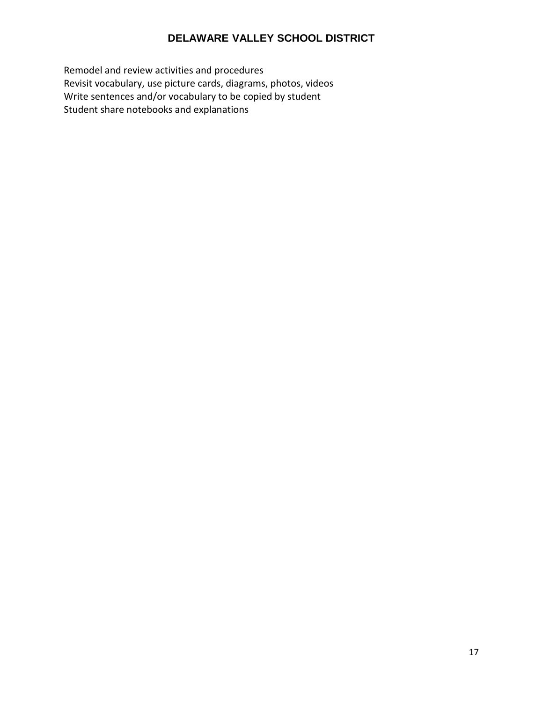Remodel and review activities and procedures Revisit vocabulary, use picture cards, diagrams, photos, videos Write sentences and/or vocabulary to be copied by student Student share notebooks and explanations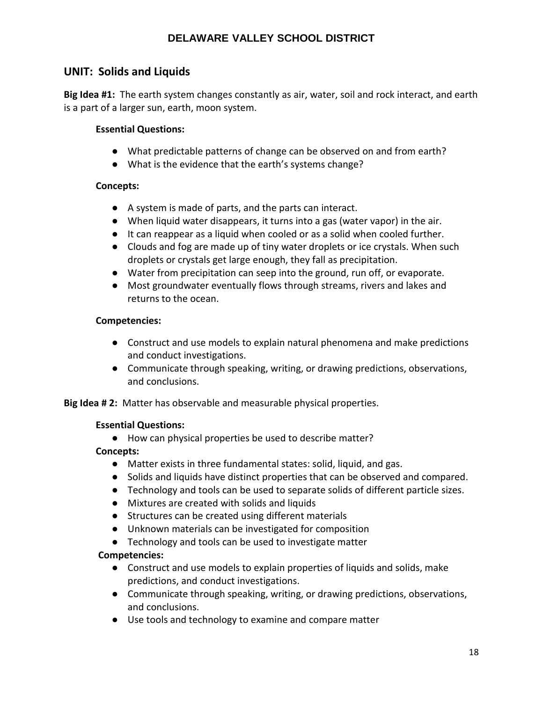# **UNIT: Solids and Liquids**

**Big Idea #1:** The earth system changes constantly as air, water, soil and rock interact, and earth is a part of a larger sun, earth, moon system.

#### **Essential Questions:**

- What predictable patterns of change can be observed on and from earth?
- What is the evidence that the earth's systems change?

#### **Concepts:**

- A system is made of parts, and the parts can interact.
- When liquid water disappears, it turns into a gas (water vapor) in the air.
- It can reappear as a liquid when cooled or as a solid when cooled further.
- Clouds and fog are made up of tiny water droplets or ice crystals. When such droplets or crystals get large enough, they fall as precipitation.
- Water from precipitation can seep into the ground, run off, or evaporate.
- Most groundwater eventually flows through streams, rivers and lakes and returns to the ocean.

#### **Competencies:**

- Construct and use models to explain natural phenomena and make predictions and conduct investigations.
- Communicate through speaking, writing, or drawing predictions, observations, and conclusions.

**Big Idea # 2:** Matter has observable and measurable physical properties.

#### **Essential Questions:**

● How can physical properties be used to describe matter?

#### **Concepts:**

- Matter exists in three fundamental states: solid, liquid, and gas.
- Solids and liquids have distinct properties that can be observed and compared.
- Technology and tools can be used to separate solids of different particle sizes.
- Mixtures are created with solids and liquids
- Structures can be created using different materials
- Unknown materials can be investigated for composition
- Technology and tools can be used to investigate matter

- Construct and use models to explain properties of liquids and solids, make predictions, and conduct investigations.
- Communicate through speaking, writing, or drawing predictions, observations, and conclusions.
- Use tools and technology to examine and compare matter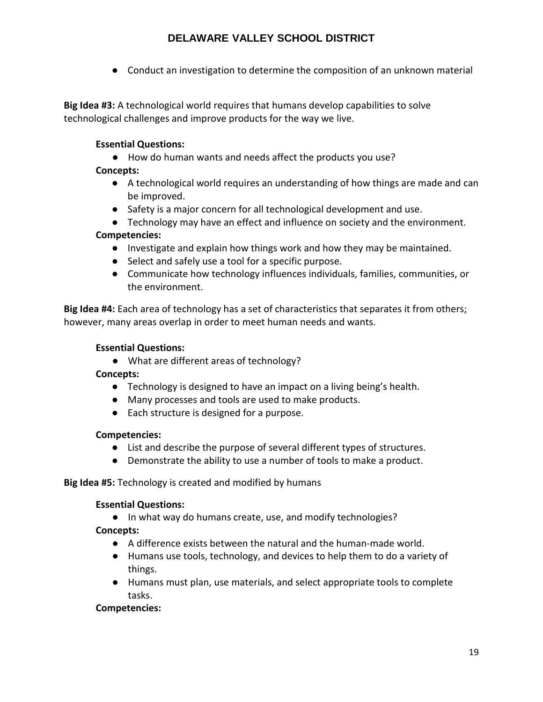● Conduct an investigation to determine the composition of an unknown material

**Big Idea #3:** A technological world requires that humans develop capabilities to solve technological challenges and improve products for the way we live.

#### **Essential Questions:**

- How do human wants and needs affect the products you use? **Concepts:**
	- A technological world requires an understanding of how things are made and can be improved.
	- Safety is a major concern for all technological development and use.
- Technology may have an effect and influence on society and the environment. **Competencies:**
	- Investigate and explain how things work and how they may be maintained.
	- Select and safely use a tool for a specific purpose.
	- Communicate how technology influences individuals, families, communities, or the environment.

**Big Idea #4:** Each area of technology has a set of characteristics that separates it from others; however, many areas overlap in order to meet human needs and wants.

#### **Essential Questions:**

● What are different areas of technology?

#### **Concepts:**

- Technology is designed to have an impact on a living being's health.
- Many processes and tools are used to make products.
- Each structure is designed for a purpose.

#### **Competencies:**

- List and describe the purpose of several different types of structures.
- Demonstrate the ability to use a number of tools to make a product.

#### **Big Idea #5:** Technology is created and modified by humans

#### **Essential Questions:**

● In what way do humans create, use, and modify technologies?

#### **Concepts:**

- A difference exists between the natural and the human-made world.
- Humans use tools, technology, and devices to help them to do a variety of things.
- Humans must plan, use materials, and select appropriate tools to complete tasks.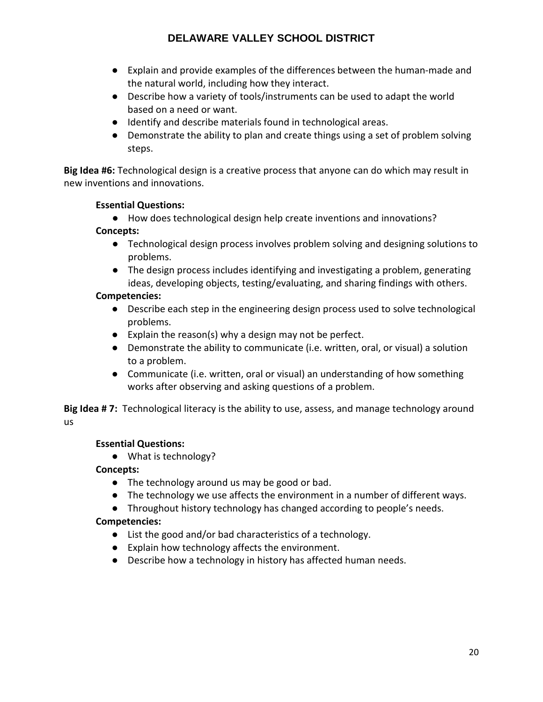- Explain and provide examples of the differences between the human-made and the natural world, including how they interact.
- Describe how a variety of tools/instruments can be used to adapt the world based on a need or want.
- Identify and describe materials found in technological areas.
- Demonstrate the ability to plan and create things using a set of problem solving steps.

**Big Idea #6:** Technological design is a creative process that anyone can do which may result in new inventions and innovations.

#### **Essential Questions:**

● How does technological design help create inventions and innovations?

#### **Concepts:**

- Technological design process involves problem solving and designing solutions to problems.
- The design process includes identifying and investigating a problem, generating ideas, developing objects, testing/evaluating, and sharing findings with others.

#### **Competencies:**

- Describe each step in the engineering design process used to solve technological problems.
- Explain the reason(s) why a design may not be perfect.
- Demonstrate the ability to communicate (i.e. written, oral, or visual) a solution to a problem.
- Communicate (i.e. written, oral or visual) an understanding of how something works after observing and asking questions of a problem.

**Big Idea # 7:** Technological literacy is the ability to use, assess, and manage technology around us

#### **Essential Questions:**

● What is technology?

#### **Concepts:**

- The technology around us may be good or bad.
- The technology we use affects the environment in a number of different ways.
- Throughout history technology has changed according to people's needs.

- List the good and/or bad characteristics of a technology.
- Explain how technology affects the environment.
- Describe how a technology in history has affected human needs.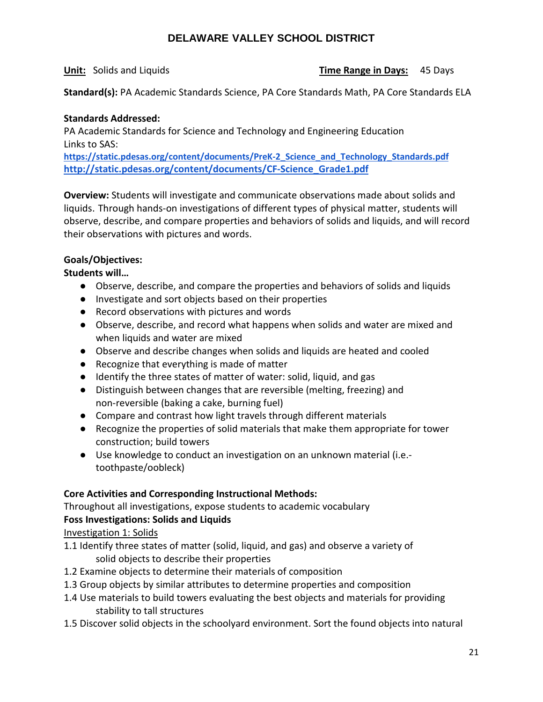### **Unit:** Solids and Liquids **Time Range in Days:** 45 Days

**Standard(s):** PA Academic Standards Science, PA Core Standards Math, PA Core Standards ELA

#### **Standards Addressed:**

PA Academic Standards for Science and Technology and Engineering Education Links to SAS: **[https://static.pdesas.org/content/documents/PreK-2\\_Science\\_and\\_Technology\\_Standards.pdf](https://static.pdesas.org/content/documents/PreK-2_Science_and_Technology_Standards.pdf) [http://static.pdesas.org/content/documents/CF-Science\\_Grade1.pdf](http://static.pdesas.org/content/documents/CF-Science_Grade1.pdf)**

**Overview:** Students will investigate and communicate observations made about solids and liquids. Through hands-on investigations of different types of physical matter, students will observe, describe, and compare properties and behaviors of solids and liquids, and will record their observations with pictures and words.

#### **Goals/Objectives:**

**Students will…**

- Observe, describe, and compare the properties and behaviors of solids and liquids
- Investigate and sort objects based on their properties
- Record observations with pictures and words
- Observe, describe, and record what happens when solids and water are mixed and when liquids and water are mixed
- Observe and describe changes when solids and liquids are heated and cooled
- Recognize that everything is made of matter
- Identify the three states of matter of water: solid, liquid, and gas
- Distinguish between changes that are reversible (melting, freezing) and non-reversible (baking a cake, burning fuel)
- Compare and contrast how light travels through different materials
- Recognize the properties of solid materials that make them appropriate for tower construction; build towers
- Use knowledge to conduct an investigation on an unknown material (i.e. toothpaste/oobleck)

#### **Core Activities and Corresponding Instructional Methods:**

Throughout all investigations, expose students to academic vocabulary

#### **Foss Investigations: Solids and Liquids**

Investigation 1: Solids

- 1.1 Identify three states of matter (solid, liquid, and gas) and observe a variety of solid objects to describe their properties
- 1.2 Examine objects to determine their materials of composition
- 1.3 Group objects by similar attributes to determine properties and composition
- 1.4 Use materials to build towers evaluating the best objects and materials for providing stability to tall structures
- 1.5 Discover solid objects in the schoolyard environment. Sort the found objects into natural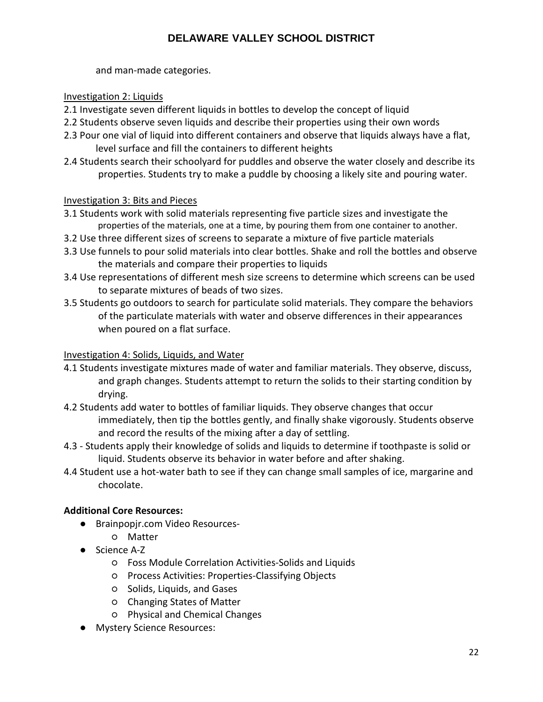and man-made categories.

#### Investigation 2: Liquids

- 2.1 Investigate seven different liquids in bottles to develop the concept of liquid
- 2.2 Students observe seven liquids and describe their properties using their own words
- 2.3 Pour one vial of liquid into different containers and observe that liquids always have a flat, level surface and fill the containers to different heights
- 2.4 Students search their schoolyard for puddles and observe the water closely and describe its properties. Students try to make a puddle by choosing a likely site and pouring water.

#### Investigation 3: Bits and Pieces

- 3.1 Students work with solid materials representing five particle sizes and investigate the properties of the materials, one at a time, by pouring them from one container to another.
- 3.2 Use three different sizes of screens to separate a mixture of five particle materials
- 3.3 Use funnels to pour solid materials into clear bottles. Shake and roll the bottles and observe the materials and compare their properties to liquids
- 3.4 Use representations of different mesh size screens to determine which screens can be used to separate mixtures of beads of two sizes.
- 3.5 Students go outdoors to search for particulate solid materials. They compare the behaviors of the particulate materials with water and observe differences in their appearances when poured on a flat surface.

#### Investigation 4: Solids, Liquids, and Water

- 4.1 Students investigate mixtures made of water and familiar materials. They observe, discuss, and graph changes. Students attempt to return the solids to their starting condition by drying.
- 4.2 Students add water to bottles of familiar liquids. They observe changes that occur immediately, then tip the bottles gently, and finally shake vigorously. Students observe and record the results of the mixing after a day of settling.
- 4.3 Students apply their knowledge of solids and liquids to determine if toothpaste is solid or liquid. Students observe its behavior in water before and after shaking.
- 4.4 Student use a hot-water bath to see if they can change small samples of ice, margarine and chocolate.

# **Additional Core Resources:**

- Brainpopjr.com Video Resources-
	- Matter
- Science A-Z
	- Foss Module Correlation Activities-Solids and Liquids
	- Process Activities: Properties-Classifying Objects
	- Solids, Liquids, and Gases
	- Changing States of Matter
	- Physical and Chemical Changes
- Mystery Science Resources: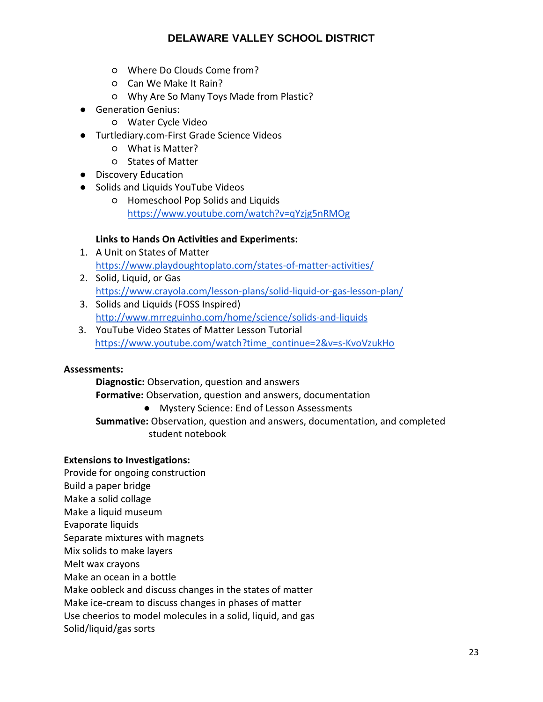- Where Do Clouds Come from?
- Can We Make It Rain?
- Why Are So Many Toys Made from Plastic?
- Generation Genius:
	- Water Cycle Video
- Turtlediary.com-First Grade Science Videos
	- What is Matter?
	- States of Matter
- Discovery Education
- Solids and Liquids YouTube Videos
	- Homeschool Pop Solids and Liquids <https://www.youtube.com/watch?v=qYzjg5nRMOg>

#### **Links to Hands On Activities and Experiments:**

- 1. A Unit on States of Matter <https://www.playdoughtoplato.com/states-of-matter-activities/>
- 2. Solid, Liquid, or Gas <https://www.crayola.com/lesson-plans/solid-liquid-or-gas-lesson-plan/>
- 3. Solids and Liquids (FOSS Inspired) <http://www.mrreguinho.com/home/science/solids-and-liquids>
- 3. YouTube Video States of Matter Lesson Tutorial [https://www.youtube.com/watch?time\\_continue=2&v=s-KvoVzukHo](https://www.youtube.com/watch?time_continue=2&v=s-KvoVzukHo)

#### **Assessments:**

**Diagnostic:** Observation, question and answers

**Formative:** Observation, question and answers, documentation

● Mystery Science: End of Lesson Assessments

**Summative:** Observation, question and answers, documentation, and completed student notebook

#### **Extensions to Investigations:**

Provide for ongoing construction Build a paper bridge Make a solid collage Make a liquid museum Evaporate liquids Separate mixtures with magnets Mix solids to make layers Melt wax crayons Make an ocean in a bottle Make oobleck and discuss changes in the states of matter Make ice-cream to discuss changes in phases of matter Use cheerios to model molecules in a solid, liquid, and gas

Solid/liquid/gas sorts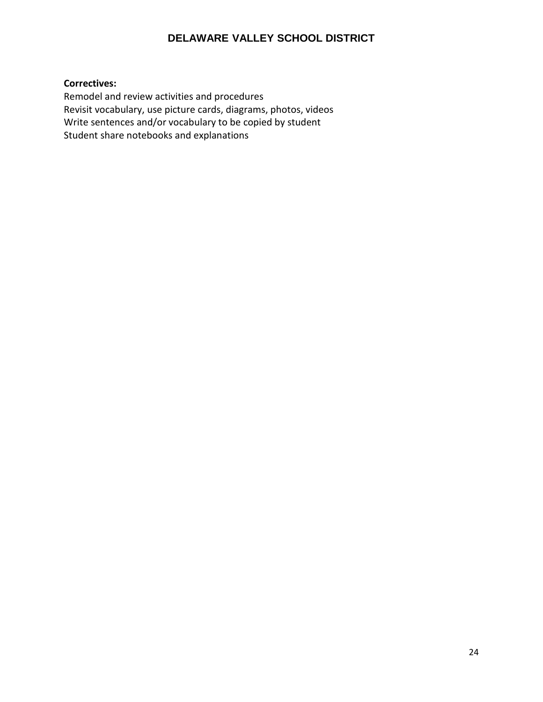#### **Correctives:**

Remodel and review activities and procedures Revisit vocabulary, use picture cards, diagrams, photos, videos Write sentences and/or vocabulary to be copied by student Student share notebooks and explanations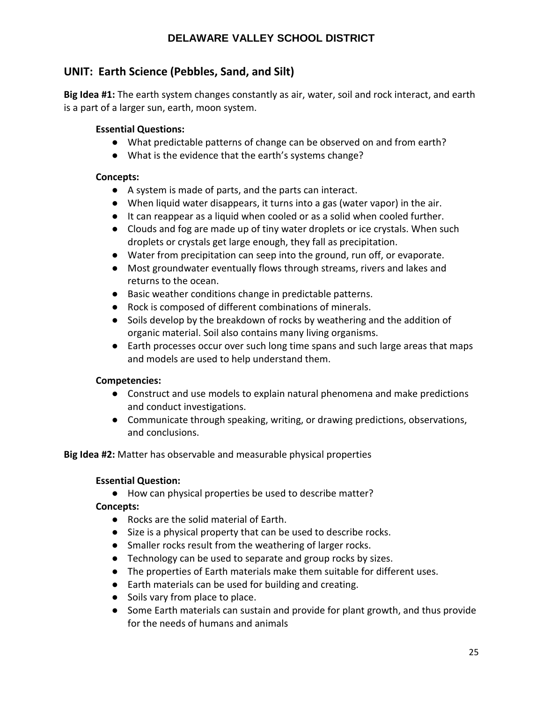# **UNIT: Earth Science (Pebbles, Sand, and Silt)**

**Big Idea #1:** The earth system changes constantly as air, water, soil and rock interact, and earth is a part of a larger sun, earth, moon system.

### **Essential Questions:**

- What predictable patterns of change can be observed on and from earth?
- What is the evidence that the earth's systems change?

#### **Concepts:**

- A system is made of parts, and the parts can interact.
- When liquid water disappears, it turns into a gas (water vapor) in the air.
- It can reappear as a liquid when cooled or as a solid when cooled further.
- Clouds and fog are made up of tiny water droplets or ice crystals. When such droplets or crystals get large enough, they fall as precipitation.
- Water from precipitation can seep into the ground, run off, or evaporate.
- Most groundwater eventually flows through streams, rivers and lakes and returns to the ocean.
- Basic weather conditions change in predictable patterns.
- Rock is composed of different combinations of minerals.
- Soils develop by the breakdown of rocks by weathering and the addition of organic material. Soil also contains many living organisms.
- Earth processes occur over such long time spans and such large areas that maps and models are used to help understand them.

# **Competencies:**

- Construct and use models to explain natural phenomena and make predictions and conduct investigations.
- Communicate through speaking, writing, or drawing predictions, observations, and conclusions.

#### **Big Idea #2:** Matter has observable and measurable physical properties

#### **Essential Question:**

● How can physical properties be used to describe matter?

#### **Concepts:**

- Rocks are the solid material of Earth.
- Size is a physical property that can be used to describe rocks.
- Smaller rocks result from the weathering of larger rocks.
- Technology can be used to separate and group rocks by sizes.
- The properties of Earth materials make them suitable for different uses.
- Earth materials can be used for building and creating.
- Soils vary from place to place.
- Some Earth materials can sustain and provide for plant growth, and thus provide for the needs of humans and animals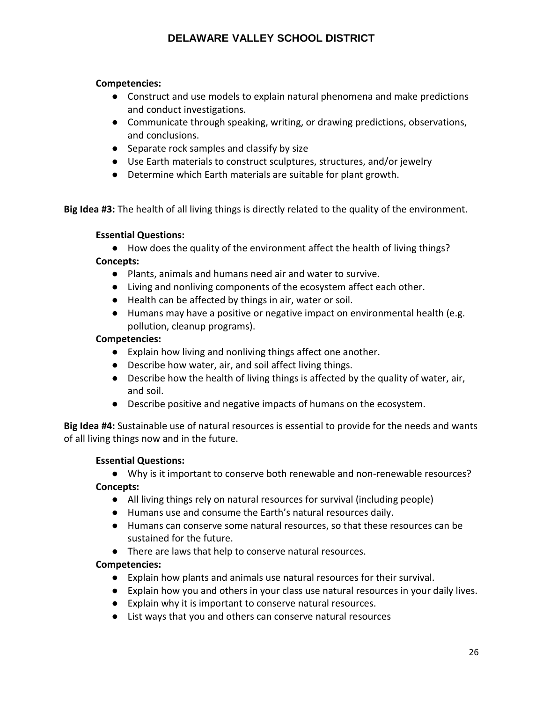#### **Competencies:**

- Construct and use models to explain natural phenomena and make predictions and conduct investigations.
- Communicate through speaking, writing, or drawing predictions, observations, and conclusions.
- Separate rock samples and classify by size
- Use Earth materials to construct sculptures, structures, and/or jewelry
- Determine which Earth materials are suitable for plant growth.

**Big Idea #3:** The health of all living things is directly related to the quality of the environment.

#### **Essential Questions:**

● How does the quality of the environment affect the health of living things?

#### **Concepts:**

- Plants, animals and humans need air and water to survive.
- Living and nonliving components of the ecosystem affect each other.
- Health can be affected by things in air, water or soil.
- Humans may have a positive or negative impact on environmental health (e.g. pollution, cleanup programs).

#### **Competencies:**

- Explain how living and nonliving things affect one another.
- Describe how water, air, and soil affect living things.
- Describe how the health of living things is affected by the quality of water, air, and soil.
- Describe positive and negative impacts of humans on the ecosystem.

**Big Idea #4:** Sustainable use of natural resources is essential to provide for the needs and wants of all living things now and in the future.

#### **Essential Questions:**

- Why is it important to conserve both renewable and non-renewable resources? **Concepts:**
	- All living things rely on natural resources for survival (including people)
	- Humans use and consume the Earth's natural resources daily.
	- Humans can conserve some natural resources, so that these resources can be sustained for the future.
	- There are laws that help to conserve natural resources.

- Explain how plants and animals use natural resources for their survival.
- Explain how you and others in your class use natural resources in your daily lives.
- Explain why it is important to conserve natural resources.
- List ways that you and others can conserve natural resources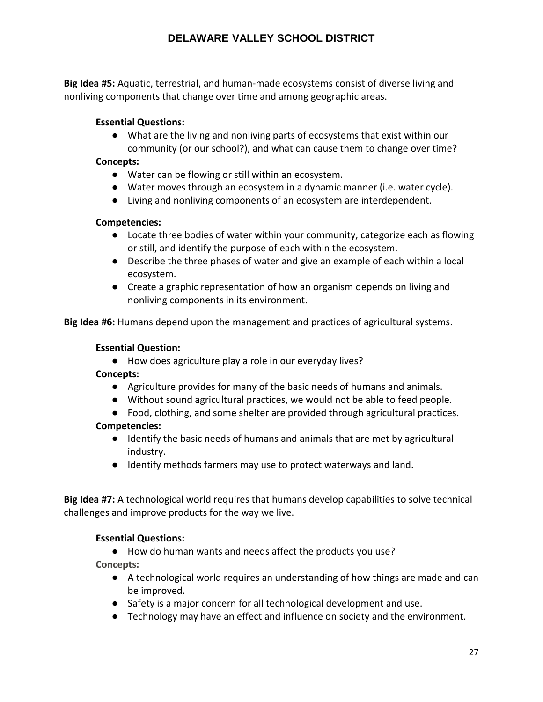**Big Idea #5:** Aquatic, terrestrial, and human-made ecosystems consist of diverse living and nonliving components that change over time and among geographic areas.

#### **Essential Questions:**

● What are the living and nonliving parts of ecosystems that exist within our community (or our school?), and what can cause them to change over time?

#### **Concepts:**

- Water can be flowing or still within an ecosystem.
- Water moves through an ecosystem in a dynamic manner (i.e. water cycle).
- Living and nonliving components of an ecosystem are interdependent.

#### **Competencies:**

- Locate three bodies of water within your community, categorize each as flowing or still, and identify the purpose of each within the ecosystem.
- Describe the three phases of water and give an example of each within a local ecosystem.
- Create a graphic representation of how an organism depends on living and nonliving components in its environment.

**Big Idea #6:** Humans depend upon the management and practices of agricultural systems.

#### **Essential Question:**

● How does agriculture play a role in our everyday lives?

#### **Concepts:**

- Agriculture provides for many of the basic needs of humans and animals.
- Without sound agricultural practices, we would not be able to feed people.
- Food, clothing, and some shelter are provided through agricultural practices.

#### **Competencies:**

- Identify the basic needs of humans and animals that are met by agricultural industry.
- Identify methods farmers may use to protect waterways and land.

**Big Idea #7:** A technological world requires that humans develop capabilities to solve technical challenges and improve products for the way we live.

#### **Essential Questions:**

- How do human wants and needs affect the products you use? **Concepts:**
	- A technological world requires an understanding of how things are made and can be improved.
	- Safety is a major concern for all technological development and use.
	- Technology may have an effect and influence on society and the environment.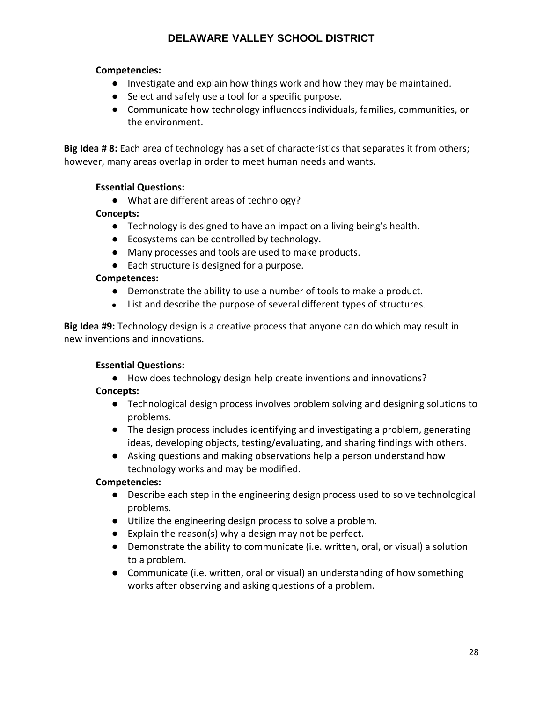#### **Competencies:**

- Investigate and explain how things work and how they may be maintained.
- Select and safely use a tool for a specific purpose.
- Communicate how technology influences individuals, families, communities, or the environment.

**Big Idea # 8:** Each area of technology has a set of characteristics that separates it from others; however, many areas overlap in order to meet human needs and wants.

#### **Essential Questions:**

● What are different areas of technology?

#### **Concepts:**

- Technology is designed to have an impact on a living being's health.
- Ecosystems can be controlled by technology.
- Many processes and tools are used to make products.
- Each structure is designed for a purpose.

#### **Competences:**

- Demonstrate the ability to use a number of tools to make a product.
- List and describe the purpose of several different types of structures.

**Big Idea #9:** Technology design is a creative process that anyone can do which may result in new inventions and innovations.

#### **Essential Questions:**

● How does technology design help create inventions and innovations?

#### **Concepts:**

- Technological design process involves problem solving and designing solutions to problems.
- The design process includes identifying and investigating a problem, generating ideas, developing objects, testing/evaluating, and sharing findings with others.
- Asking questions and making observations help a person understand how technology works and may be modified.

- Describe each step in the engineering design process used to solve technological problems.
- Utilize the engineering design process to solve a problem.
- Explain the reason(s) why a design may not be perfect.
- Demonstrate the ability to communicate (i.e. written, oral, or visual) a solution to a problem.
- Communicate (i.e. written, oral or visual) an understanding of how something works after observing and asking questions of a problem.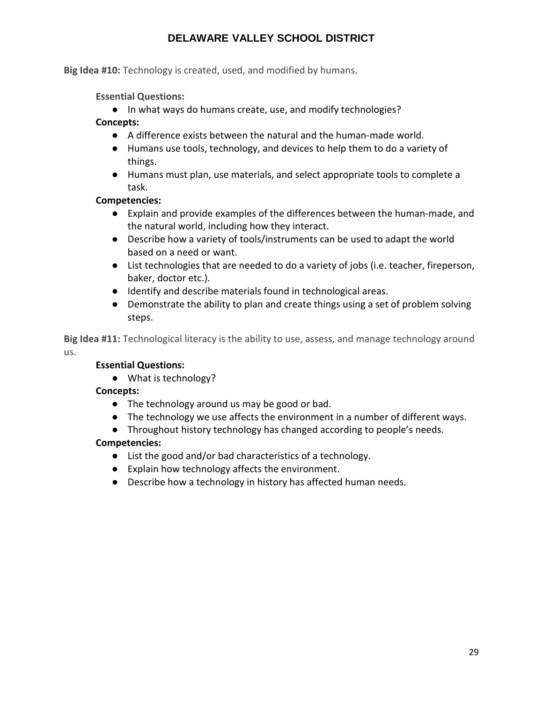**Big Idea #10:** Technology is created, used, and modified by humans.

**Essential Questions:**

● In what ways do humans create, use, and modify technologies?

#### **Concepts:**

- A difference exists between the natural and the human-made world.
- Humans use tools, technology, and devices to help them to do a variety of things.
- Humans must plan, use materials, and select appropriate tools to complete a task.

### **Competencies:**

- Explain and provide examples of the differences between the human-made, and the natural world, including how they interact.
- Describe how a variety of tools/instruments can be used to adapt the world based on a need or want.
- List technologies that are needed to do a variety of jobs (i.e. teacher, fireperson, baker, doctor etc.).
- Identify and describe materials found in technological areas.
- Demonstrate the ability to plan and create things using a set of problem solving steps.

**Big Idea #11:** Technological literacy is the ability to use, assess, and manage technology around us.

# **Essential Questions:**

● What is technology?

# **Concepts:**

- The technology around us may be good or bad.
- The technology we use affects the environment in a number of different ways.
- Throughout history technology has changed according to people's needs.

- List the good and/or bad characteristics of a technology.
- Explain how technology affects the environment.
- Describe how a technology in history has affected human needs.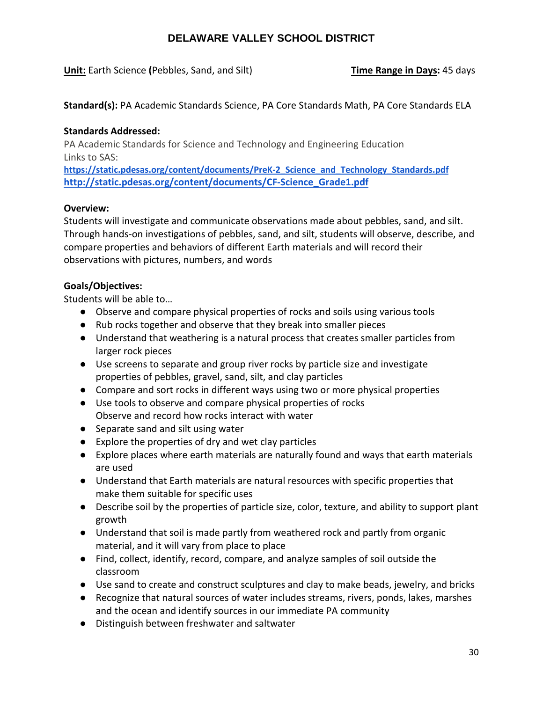**Unit:** Earth Science **(**Pebbles, Sand, and Silt) **Time Range in Days:** 45 days

**Standard(s):** PA Academic Standards Science, PA Core Standards Math, PA Core Standards ELA

#### **Standards Addressed:**

PA Academic Standards for Science and Technology and Engineering Education Links to SAS:

**[https://static.pdesas.org/content/documents/PreK-2\\_Science\\_and\\_Technology\\_Standards.pdf](https://static.pdesas.org/content/documents/PreK-2_Science_and_Technology_Standards.pdf) [http://static.pdesas.org/content/documents/CF-Science\\_Grade1.pdf](http://static.pdesas.org/content/documents/CF-Science_Grade1.pdf)**

### **Overview:**

Students will investigate and communicate observations made about pebbles, sand, and silt. Through hands-on investigations of pebbles, sand, and silt, students will observe, describe, and compare properties and behaviors of different Earth materials and will record their observations with pictures, numbers, and words

### **Goals/Objectives:**

Students will be able to…

- Observe and compare physical properties of rocks and soils using various tools
- Rub rocks together and observe that they break into smaller pieces
- Understand that weathering is a natural process that creates smaller particles from larger rock pieces
- Use screens to separate and group river rocks by particle size and investigate properties of pebbles, gravel, sand, silt, and clay particles
- Compare and sort rocks in different ways using two or more physical properties
- Use tools to observe and compare physical properties of rocks Observe and record how rocks interact with water
- Separate sand and silt using water
- Explore the properties of dry and wet clay particles
- Explore places where earth materials are naturally found and ways that earth materials are used
- Understand that Earth materials are natural resources with specific properties that make them suitable for specific uses
- Describe soil by the properties of particle size, color, texture, and ability to support plant growth
- Understand that soil is made partly from weathered rock and partly from organic material, and it will vary from place to place
- Find, collect, identify, record, compare, and analyze samples of soil outside the classroom
- Use sand to create and construct sculptures and clay to make beads, jewelry, and bricks
- Recognize that natural sources of water includes streams, rivers, ponds, lakes, marshes and the ocean and identify sources in our immediate PA community
- Distinguish between freshwater and saltwater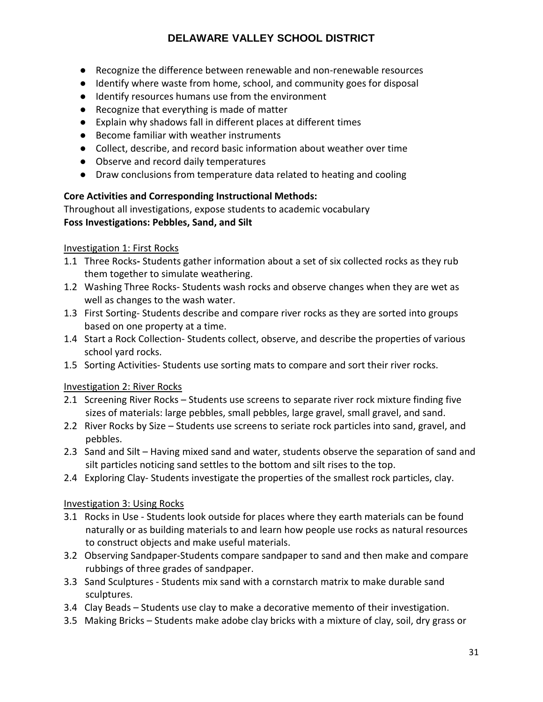- Recognize the difference between renewable and non-renewable resources
- Identify where waste from home, school, and community goes for disposal
- Identify resources humans use from the environment
- Recognize that everything is made of matter
- Explain why shadows fall in different places at different times
- Become familiar with weather instruments
- Collect, describe, and record basic information about weather over time
- Observe and record daily temperatures
- Draw conclusions from temperature data related to heating and cooling

#### **Core Activities and Corresponding Instructional Methods:**

Throughout all investigations, expose students to academic vocabulary **Foss Investigations: Pebbles, Sand, and Silt**

### Investigation 1: First Rocks

- 1.1 Three Rocks**-** Students gather information about a set of six collected rocks as they rub them together to simulate weathering.
- 1.2 Washing Three Rocks- Students wash rocks and observe changes when they are wet as well as changes to the wash water.
- 1.3 First Sorting- Students describe and compare river rocks as they are sorted into groups based on one property at a time.
- 1.4 Start a Rock Collection- Students collect, observe, and describe the properties of various school yard rocks.
- 1.5 Sorting Activities- Students use sorting mats to compare and sort their river rocks.

# Investigation 2: River Rocks

- 2.1 Screening River Rocks Students use screens to separate river rock mixture finding five sizes of materials: large pebbles, small pebbles, large gravel, small gravel, and sand.
- 2.2 River Rocks by Size Students use screens to seriate rock particles into sand, gravel, and pebbles.
- 2.3 Sand and Silt Having mixed sand and water, students observe the separation of sand and silt particles noticing sand settles to the bottom and silt rises to the top.
- 2.4 Exploring Clay- Students investigate the properties of the smallest rock particles, clay.

# Investigation 3: Using Rocks

- 3.1 Rocks in Use Students look outside for places where they earth materials can be found naturally or as building materials to and learn how people use rocks as natural resources to construct objects and make useful materials.
- 3.2 Observing Sandpaper-Students compare sandpaper to sand and then make and compare rubbings of three grades of sandpaper.
- 3.3 Sand Sculptures Students mix sand with a cornstarch matrix to make durable sand sculptures.
- 3.4 Clay Beads Students use clay to make a decorative memento of their investigation.
- 3.5 Making Bricks Students make adobe clay bricks with a mixture of clay, soil, dry grass or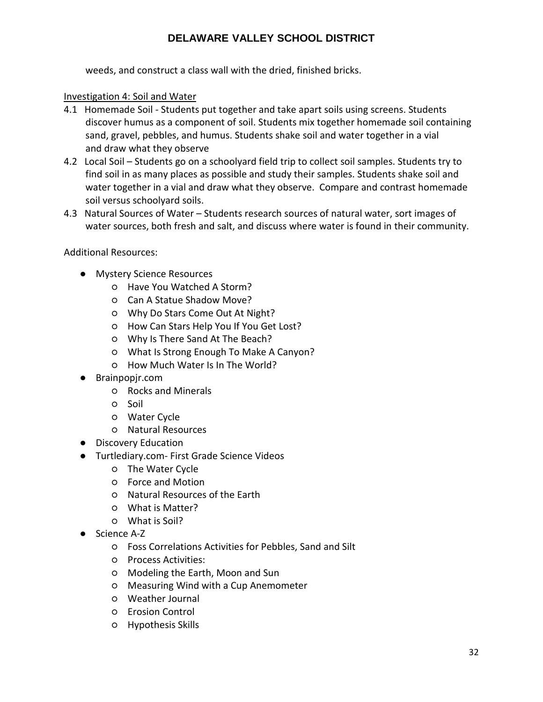weeds, and construct a class wall with the dried, finished bricks.

#### Investigation 4: Soil and Water

- 4.1 Homemade Soil Students put together and take apart soils using screens. Students discover humus as a component of soil. Students mix together homemade soil containing sand, gravel, pebbles, and humus. Students shake soil and water together in a vial and draw what they observe
- 4.2 Local Soil Students go on a schoolyard field trip to collect soil samples. Students try to find soil in as many places as possible and study their samples. Students shake soil and water together in a vial and draw what they observe. Compare and contrast homemade soil versus schoolyard soils.
- 4.3 Natural Sources of Water Students research sources of natural water, sort images of water sources, both fresh and salt, and discuss where water is found in their community.

#### Additional Resources:

- Mystery Science Resources
	- Have You Watched A Storm?
	- Can A Statue Shadow Move?
	- Why Do Stars Come Out At Night?
	- How Can Stars Help You If You Get Lost?
	- Why Is There Sand At The Beach?
	- What Is Strong Enough To Make A Canyon?
	- How Much Water Is In The World?
- Brainpopjr.com
	- Rocks and Minerals
	- Soil
	- Water Cycle
	- Natural Resources
- Discovery Education
- Turtlediary.com- First Grade Science Videos
	- The Water Cycle
	- Force and Motion
	- Natural Resources of the Earth
	- What is Matter?
	- What is Soil?
- Science A-Z
	- Foss Correlations Activities for Pebbles, Sand and Silt
	- Process Activities:
	- Modeling the Earth, Moon and Sun
	- Measuring Wind with a Cup Anemometer
	- Weather Journal
	- Erosion Control
	- Hypothesis Skills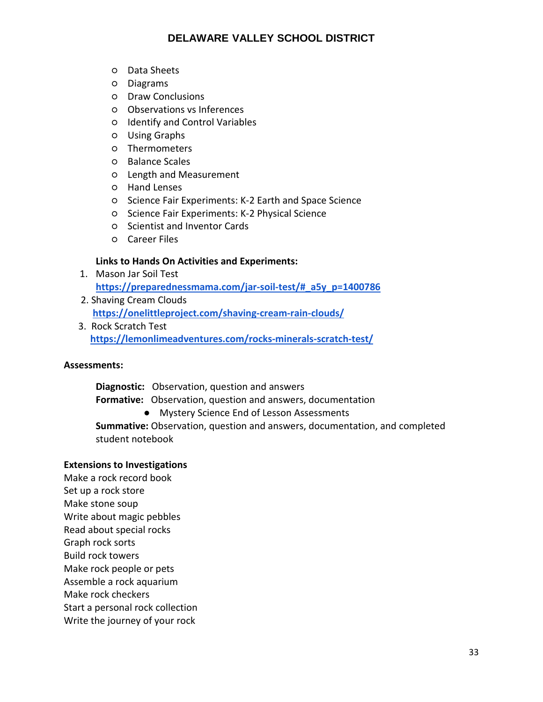- Data Sheets
- Diagrams
- Draw Conclusions
- Observations vs Inferences
- Identify and Control Variables
- Using Graphs
- Thermometers
- Balance Scales
- Length and Measurement
- Hand Lenses
- Science Fair Experiments: K-2 Earth and Space Science
- Science Fair Experiments: K-2 Physical Science
- Scientist and Inventor Cards
- Career Files

#### **Links to Hands On Activities and Experiments:**

- 1. Mason Jar Soil Test **[https://preparednessmama.com/jar-soil-test/#\\_a5y\\_p=1400786](https://preparednessmama.com/jar-soil-test/#_a5y_p=1400786)**
- 2. Shaving Cream Clouds  **<https://onelittleproject.com/shaving-cream-rain-clouds/>**
- 3. Rock Scratch Test  **<https://lemonlimeadventures.com/rocks-minerals-scratch-test/>**

#### **Assessments:**

**Diagnostic:** Observation, question and answers

- **Formative:** Observation, question and answers, documentation
	- Mystery Science End of Lesson Assessments

**Summative:** Observation, question and answers, documentation, and completed student notebook

#### **Extensions to Investigations**

Make a rock record book Set up a rock store Make stone soup Write about magic pebbles Read about special rocks Graph rock sorts Build rock towers Make rock people or pets Assemble a rock aquarium Make rock checkers Start a personal rock collection Write the journey of your rock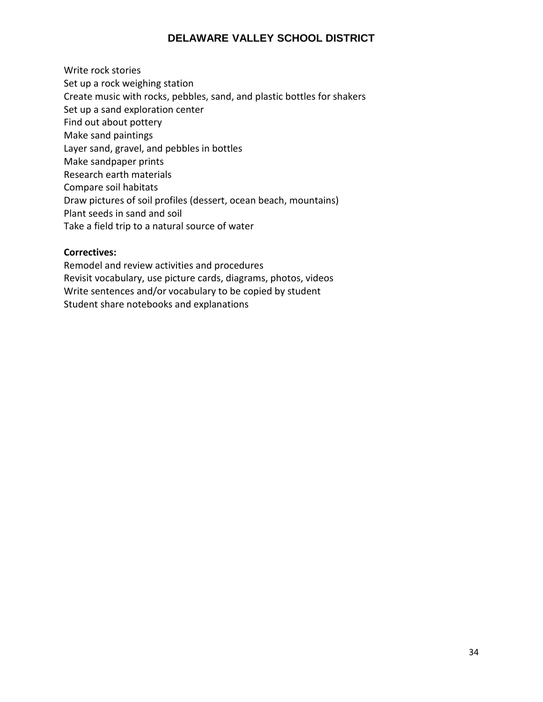Write rock stories Set up a rock weighing station Create music with rocks, pebbles, sand, and plastic bottles for shakers Set up a sand exploration center Find out about pottery Make sand paintings Layer sand, gravel, and pebbles in bottles Make sandpaper prints Research earth materials Compare soil habitats Draw pictures of soil profiles (dessert, ocean beach, mountains) Plant seeds in sand and soil Take a field trip to a natural source of water

#### **Correctives:**

Remodel and review activities and procedures Revisit vocabulary, use picture cards, diagrams, photos, videos Write sentences and/or vocabulary to be copied by student Student share notebooks and explanations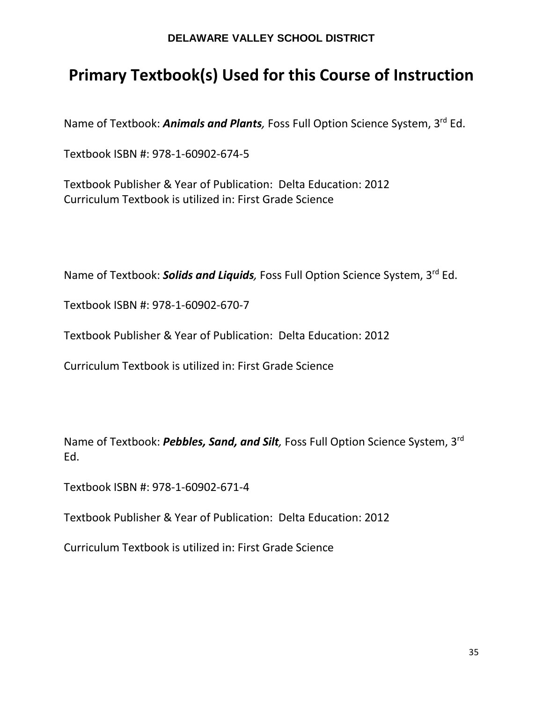# **Primary Textbook(s) Used for this Course of Instruction**

Name of Textbook: *Animals and Plants,* Foss Full Option Science System, 3rd Ed.

Textbook ISBN #: 978-1-60902-674-5

Textbook Publisher & Year of Publication: Delta Education: 2012 Curriculum Textbook is utilized in: First Grade Science

Name of Textbook: *Solids and Liquids,* Foss Full Option Science System, 3rd Ed.

Textbook ISBN #: 978-1-60902-670-7

Textbook Publisher & Year of Publication: Delta Education: 2012

Curriculum Textbook is utilized in: First Grade Science

Name of Textbook: *Pebbles, Sand, and Silt,* Foss Full Option Science System, 3rd Ed.

Textbook ISBN #: 978-1-60902-671-4

Textbook Publisher & Year of Publication: Delta Education: 2012

Curriculum Textbook is utilized in: First Grade Science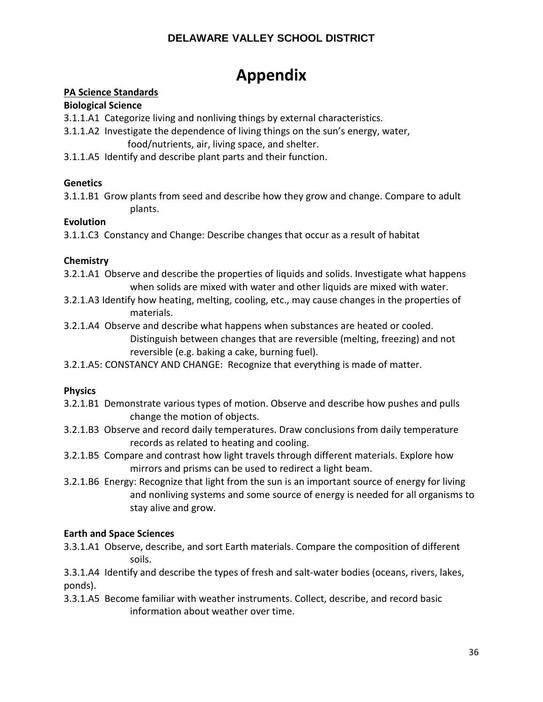# **Appendix**

#### **PA Science Standards**

#### **Biological Science**

3.1.1.A1 Categorize living and nonliving things by external characteristics.

3.1.1.A2 Investigate the dependence of living things on the sun's energy, water, food/nutrients, air, living space, and shelter.

3.1.1.A5 Identify and describe plant parts and their function.

#### **Genetics**

3.1.1.B1 Grow plants from seed and describe how they grow and change. Compare to adult plants.

#### **Evolution**

3.1.1.C3 Constancy and Change: Describe changes that occur as a result of habitat

#### **Chemistry**

- 3.2.1.A1 Observe and describe the properties of liquids and solids. Investigate what happens when solids are mixed with water and other liquids are mixed with water.
- 3.2.1.A3 Identify how heating, melting, cooling, etc., may cause changes in the properties of materials.
- 3.2.1.A4 Observe and describe what happens when substances are heated or cooled. Distinguish between changes that are reversible (melting, freezing) and not reversible (e.g. baking a cake, burning fuel).
- 3.2.1.A5: CONSTANCY AND CHANGE: Recognize that everything is made of matter.

#### **Physics**

- 3.2.1.B1 Demonstrate various types of motion. Observe and describe how pushes and pulls change the motion of objects.
- 3.2.1.B3 Observe and record daily temperatures. Draw conclusions from daily temperature records as related to heating and cooling.
- 3.2.1.B5 Compare and contrast how light travels through different materials. Explore how mirrors and prisms can be used to redirect a light beam.
- 3.2.1.B6 Energy: Recognize that light from the sun is an important source of energy for living and nonliving systems and some source of energy is needed for all organisms to stay alive and grow.

#### **Earth and Space Sciences**

3.3.1.A1 Observe, describe, and sort Earth materials. Compare the composition of different soils.

3.3.1.A4 Identify and describe the types of fresh and salt-water bodies (oceans, rivers, lakes, ponds).

3.3.1.A5 Become familiar with weather instruments. Collect, describe, and record basic information about weather over time.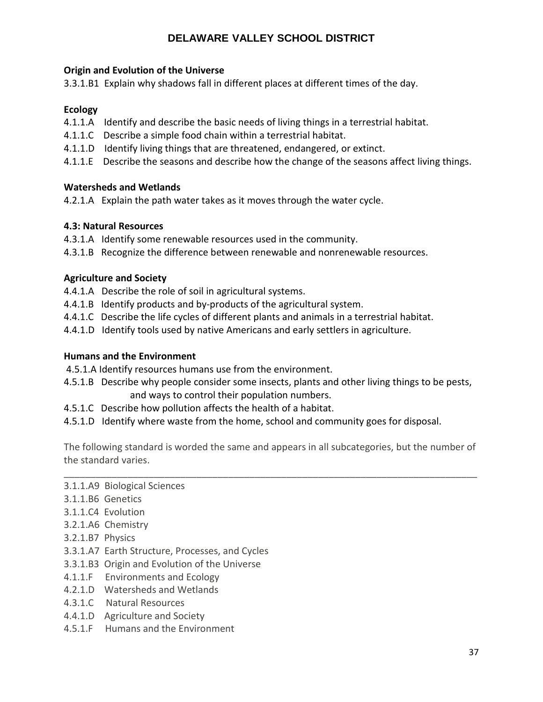#### **Origin and Evolution of the Universe**

3.3.1.B1 Explain why shadows fall in different places at different times of the day.

#### **Ecology**

- 4.1.1.A Identify and describe the basic needs of living things in a terrestrial habitat.
- 4.1.1.C Describe a simple food chain within a terrestrial habitat.
- 4.1.1.D Identify living things that are threatened, endangered, or extinct.
- 4.1.1.E Describe the seasons and describe how the change of the seasons affect living things.

#### **Watersheds and Wetlands**

4.2.1.A Explain the path water takes as it moves through the water cycle.

#### **4.3: Natural Resources**

- 4.3.1.A Identify some renewable resources used in the community.
- 4.3.1.B Recognize the difference between renewable and nonrenewable resources.

#### **Agriculture and Society**

- 4.4.1.A Describe the role of soil in agricultural systems.
- 4.4.1.B Identify products and by-products of the agricultural system.
- 4.4.1.C Describe the life cycles of different plants and animals in a terrestrial habitat.
- 4.4.1.D Identify tools used by native Americans and early settlers in agriculture.

#### **Humans and the Environment**

- 4.5.1.A Identify resources humans use from the environment.
- 4.5.1.B Describe why people consider some insects, plants and other living things to be pests, and ways to control their population numbers.
- 4.5.1.C Describe how pollution affects the health of a habitat.
- 4.5.1.D Identify where waste from the home, school and community goes for disposal.

The following standard is worded the same and appears in all subcategories, but the number of the standard varies.

\_\_\_\_\_\_\_\_\_\_\_\_\_\_\_\_\_\_\_\_\_\_\_\_\_\_\_\_\_\_\_\_\_\_\_\_\_\_\_\_\_\_\_\_\_\_\_\_\_\_\_\_\_\_\_\_\_\_\_\_\_\_\_\_\_\_\_\_\_\_\_\_\_\_\_\_\_\_

- 3.1.1.A9 Biological Sciences
- 3.1.1.B6 Genetics
- 3.1.1.C4 Evolution
- 3.2.1.A6 Chemistry
- 3.2.1.B7 Physics
- 3.3.1.A7 Earth Structure, Processes, and Cycles
- 3.3.1.B3 Origin and Evolution of the Universe
- 4.1.1.F Environments and Ecology
- 4.2.1.D Watersheds and Wetlands
- 4.3.1.C Natural Resources
- 4.4.1.D Agriculture and Society
- 4.5.1.F Humans and the Environment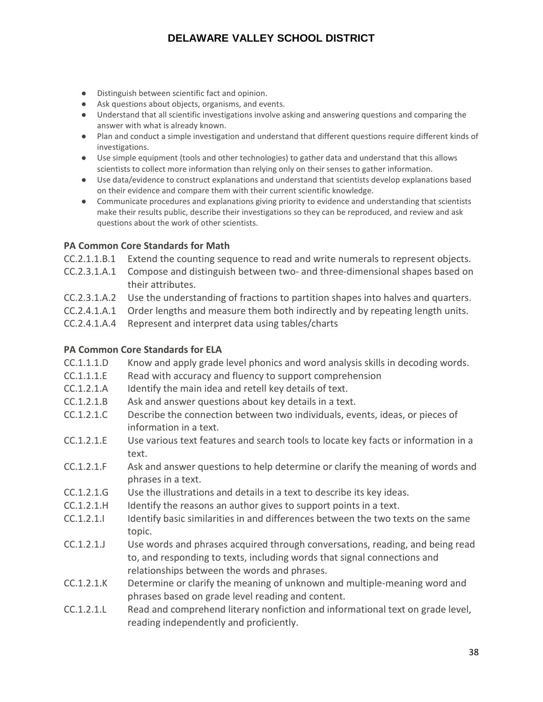- Distinguish between scientific fact and opinion.
- Ask questions about objects, organisms, and events.
- Understand that all scientific investigations involve asking and answering questions and comparing the answer with what is already known.
- Plan and conduct a simple investigation and understand that different questions require different kinds of investigations.
- Use simple equipment (tools and other technologies) to gather data and understand that this allows scientists to collect more information than relying only on their senses to gather information.
- Use data/evidence to construct explanations and understand that scientists develop explanations based on their evidence and compare them with their current scientific knowledge.
- Communicate procedures and explanations giving priority to evidence and understanding that scientists make their results public, describe their investigations so they can be reproduced, and review and ask questions about the work of other scientists.

#### **PA Common Core Standards for Math**

- CC.2.1.1.B.1 Extend the counting sequence to read and write numerals to represent objects.
- CC.2.3.1.A.1 Compose and distinguish between two- and three-dimensional shapes based on their attributes.
- CC.2.3.1.A.2 Use the understanding of fractions to partition shapes into halves and quarters.
- CC.2.4.1.A.1 Order lengths and measure them both indirectly and by repeating length units.
- CC.2.4.1.A.4 Represent and interpret data using tables/charts

#### **PA Common Core Standards for ELA**

- CC.1.1.1.D Know and apply grade level phonics and word analysis skills in decoding words.
- CC.1.1.1.E Read with accuracy and fluency to support comprehension
- CC.1.2.1.A Identify the main idea and retell key details of text.
- CC.1.2.1.B Ask and answer questions about key details in a text.
- CC.1.2.1.C Describe the connection between two individuals, events, ideas, or pieces of information in a text.
- CC.1.2.1.E Use various text features and search tools to locate key facts or information in a text.
- CC.1.2.1.F Ask and answer questions to help determine or clarify the meaning of words and phrases in a text.
- CC.1.2.1.G Use the illustrations and details in a text to describe its key ideas.
- CC.1.2.1.H Identify the reasons an author gives to support points in a text.
- CC.1.2.1.I Identify basic similarities in and differences between the two texts on the same topic.
- CC.1.2.1.J Use words and phrases acquired through conversations, reading, and being read to, and responding to texts, including words that signal connections and relationships between the words and phrases.
- CC.1.2.1.K Determine or clarify the meaning of unknown and multiple-meaning word and phrases based on grade level reading and content.
- CC.1.2.1.L Read and comprehend literary nonfiction and informational text on grade level, reading independently and proficiently.